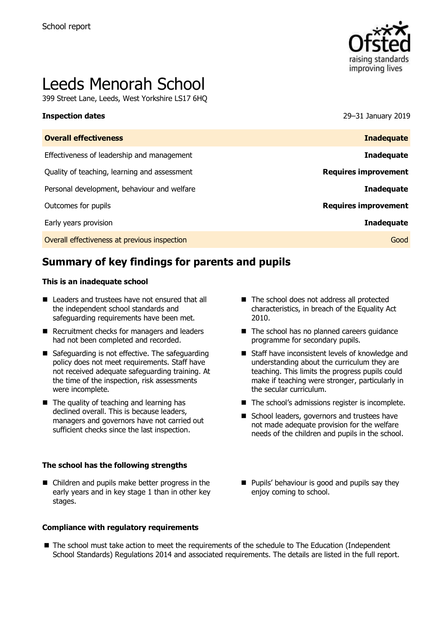

# Leeds Menorah School

399 Street Lane, Leeds, West Yorkshire LS17 6HQ

**Inspection dates** 29–31 January 2019

| <b>Overall effectiveness</b>                 | <b>Inadequate</b>           |
|----------------------------------------------|-----------------------------|
| Effectiveness of leadership and management   | <b>Inadequate</b>           |
| Quality of teaching, learning and assessment | <b>Requires improvement</b> |
| Personal development, behaviour and welfare  | <b>Inadequate</b>           |
| Outcomes for pupils                          | <b>Requires improvement</b> |
| Early years provision                        | <b>Inadequate</b>           |
| Overall effectiveness at previous inspection | Good                        |
|                                              |                             |

# **Summary of key findings for parents and pupils**

#### **This is an inadequate school**

- Leaders and trustees have not ensured that all the independent school standards and safeguarding requirements have been met.
- Recruitment checks for managers and leaders had not been completed and recorded.
- Safeguarding is not effective. The safeguarding policy does not meet requirements. Staff have not received adequate safeguarding training. At the time of the inspection, risk assessments were incomplete.
- $\blacksquare$  The quality of teaching and learning has declined overall. This is because leaders, managers and governors have not carried out sufficient checks since the last inspection.

#### **The school has the following strengths**

■ Children and pupils make better progress in the early years and in key stage 1 than in other key stages.

#### **Compliance with regulatory requirements**

- The school does not address all protected characteristics, in breach of the Equality Act 2010.
- The school has no planned careers quidance programme for secondary pupils.
- Staff have inconsistent levels of knowledge and understanding about the curriculum they are teaching. This limits the progress pupils could make if teaching were stronger, particularly in the secular curriculum.
- The school's admissions register is incomplete.
- School leaders, governors and trustees have not made adequate provision for the welfare needs of the children and pupils in the school.
- Pupils' behaviour is good and pupils say they enjoy coming to school.
- The school must take action to meet the requirements of the schedule to The Education (Independent School Standards) Regulations 2014 and associated requirements. The details are listed in the full report.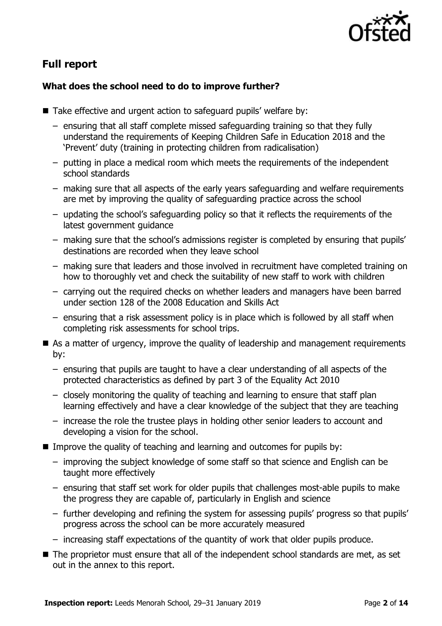

# **Full report**

#### **What does the school need to do to improve further?**

- Take effective and urgent action to safeguard pupils' welfare by:
	- ensuring that all staff complete missed safeguarding training so that they fully understand the requirements of Keeping Children Safe in Education 2018 and the 'Prevent' duty (training in protecting children from radicalisation)
	- putting in place a medical room which meets the requirements of the independent school standards
	- making sure that all aspects of the early years safeguarding and welfare requirements are met by improving the quality of safeguarding practice across the school
	- updating the school's safeguarding policy so that it reflects the requirements of the latest government guidance
	- making sure that the school's admissions register is completed by ensuring that pupils' destinations are recorded when they leave school
	- making sure that leaders and those involved in recruitment have completed training on how to thoroughly vet and check the suitability of new staff to work with children
	- carrying out the required checks on whether leaders and managers have been barred under section 128 of the 2008 Education and Skills Act
	- ensuring that a risk assessment policy is in place which is followed by all staff when completing risk assessments for school trips.
- $\blacksquare$  As a matter of urgency, improve the quality of leadership and management requirements by:
	- ensuring that pupils are taught to have a clear understanding of all aspects of the protected characteristics as defined by part 3 of the Equality Act 2010
	- closely monitoring the quality of teaching and learning to ensure that staff plan learning effectively and have a clear knowledge of the subject that they are teaching
	- increase the role the trustee plays in holding other senior leaders to account and developing a vision for the school.
- Improve the quality of teaching and learning and outcomes for pupils by:
	- improving the subject knowledge of some staff so that science and English can be taught more effectively
	- ensuring that staff set work for older pupils that challenges most-able pupils to make the progress they are capable of, particularly in English and science
	- further developing and refining the system for assessing pupils' progress so that pupils' progress across the school can be more accurately measured
	- increasing staff expectations of the quantity of work that older pupils produce.
- The proprietor must ensure that all of the independent school standards are met, as set out in the annex to this report.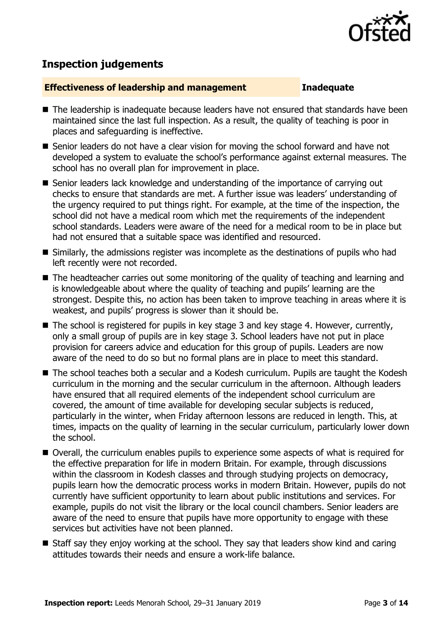

# **Inspection judgements**

#### **Effectiveness of leadership and management Inadequate**

- The leadership is inadequate because leaders have not ensured that standards have been maintained since the last full inspection. As a result, the quality of teaching is poor in places and safeguarding is ineffective.
- Senior leaders do not have a clear vision for moving the school forward and have not developed a system to evaluate the school's performance against external measures. The school has no overall plan for improvement in place.
- Senior leaders lack knowledge and understanding of the importance of carrying out checks to ensure that standards are met. A further issue was leaders' understanding of the urgency required to put things right. For example, at the time of the inspection, the school did not have a medical room which met the requirements of the independent school standards. Leaders were aware of the need for a medical room to be in place but had not ensured that a suitable space was identified and resourced.
- Similarly, the admissions register was incomplete as the destinations of pupils who had left recently were not recorded.
- The headteacher carries out some monitoring of the quality of teaching and learning and is knowledgeable about where the quality of teaching and pupils' learning are the strongest. Despite this, no action has been taken to improve teaching in areas where it is weakest, and pupils' progress is slower than it should be.
- The school is registered for pupils in key stage 3 and key stage 4. However, currently, only a small group of pupils are in key stage 3. School leaders have not put in place provision for careers advice and education for this group of pupils. Leaders are now aware of the need to do so but no formal plans are in place to meet this standard.
- The school teaches both a secular and a Kodesh curriculum. Pupils are taught the Kodesh curriculum in the morning and the secular curriculum in the afternoon. Although leaders have ensured that all required elements of the independent school curriculum are covered, the amount of time available for developing secular subjects is reduced, particularly in the winter, when Friday afternoon lessons are reduced in length. This, at times, impacts on the quality of learning in the secular curriculum, particularly lower down the school.
- Overall, the curriculum enables pupils to experience some aspects of what is required for the effective preparation for life in modern Britain. For example, through discussions within the classroom in Kodesh classes and through studying projects on democracy, pupils learn how the democratic process works in modern Britain. However, pupils do not currently have sufficient opportunity to learn about public institutions and services. For example, pupils do not visit the library or the local council chambers. Senior leaders are aware of the need to ensure that pupils have more opportunity to engage with these services but activities have not been planned.
- Staff say they enjoy working at the school. They say that leaders show kind and caring attitudes towards their needs and ensure a work-life balance.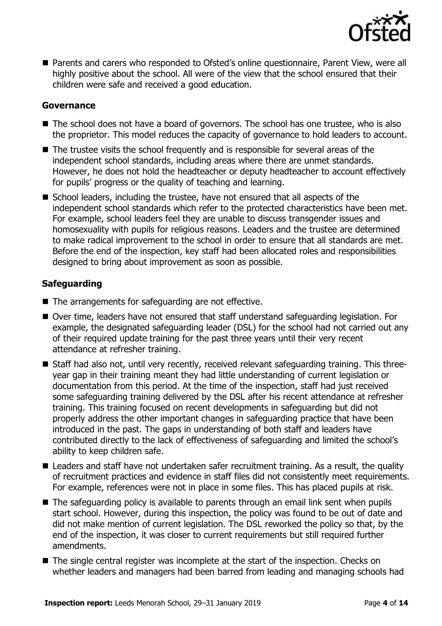

■ Parents and carers who responded to Ofsted's online questionnaire, Parent View, were all highly positive about the school. All were of the view that the school ensured that their children were safe and received a good education.

#### **Governance**

- The school does not have a board of governors. The school has one trustee, who is also the proprietor. This model reduces the capacity of governance to hold leaders to account.
- The trustee visits the school frequently and is responsible for several areas of the independent school standards, including areas where there are unmet standards. However, he does not hold the headteacher or deputy headteacher to account effectively for pupils' progress or the quality of teaching and learning.
- School leaders, including the trustee, have not ensured that all aspects of the independent school standards which refer to the protected characteristics have been met. For example, school leaders feel they are unable to discuss transgender issues and homosexuality with pupils for religious reasons. Leaders and the trustee are determined to make radical improvement to the school in order to ensure that all standards are met. Before the end of the inspection, key staff had been allocated roles and responsibilities designed to bring about improvement as soon as possible.

#### **Safeguarding**

- The arrangements for safeguarding are not effective.
- Over time, leaders have not ensured that staff understand safeguarding legislation. For example, the designated safeguarding leader (DSL) for the school had not carried out any of their required update training for the past three years until their very recent attendance at refresher training.
- Staff had also not, until very recently, received relevant safeguarding training. This threeyear gap in their training meant they had little understanding of current legislation or documentation from this period. At the time of the inspection, staff had just received some safeguarding training delivered by the DSL after his recent attendance at refresher training. This training focused on recent developments in safeguarding but did not properly address the other important changes in safeguarding practice that have been introduced in the past. The gaps in understanding of both staff and leaders have contributed directly to the lack of effectiveness of safeguarding and limited the school's ability to keep children safe.
- Leaders and staff have not undertaken safer recruitment training. As a result, the quality of recruitment practices and evidence in staff files did not consistently meet requirements. For example, references were not in place in some files. This has placed pupils at risk.
- The safeguarding policy is available to parents through an email link sent when pupils start school. However, during this inspection, the policy was found to be out of date and did not make mention of current legislation. The DSL reworked the policy so that, by the end of the inspection, it was closer to current requirements but still required further amendments.
- The single central register was incomplete at the start of the inspection. Checks on whether leaders and managers had been barred from leading and managing schools had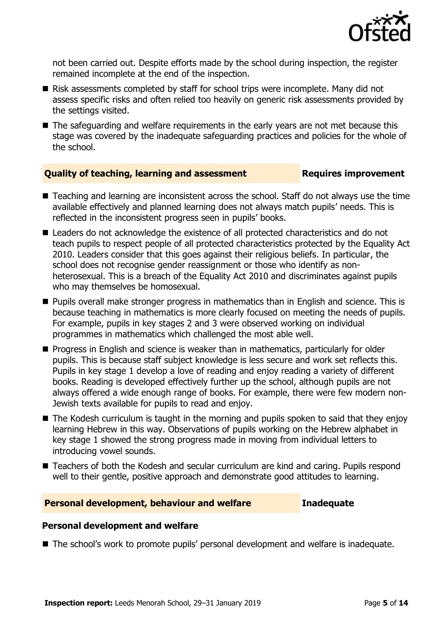

not been carried out. Despite efforts made by the school during inspection, the register remained incomplete at the end of the inspection.

- Risk assessments completed by staff for school trips were incomplete. Many did not assess specific risks and often relied too heavily on generic risk assessments provided by the settings visited.
- The safeguarding and welfare requirements in the early years are not met because this stage was covered by the inadequate safeguarding practices and policies for the whole of the school.

#### **Quality of teaching, learning and assessment Fig. 2.1 Requires improvement**

- Teaching and learning are inconsistent across the school. Staff do not always use the time available effectively and planned learning does not always match pupils' needs. This is reflected in the inconsistent progress seen in pupils' books.
- Leaders do not acknowledge the existence of all protected characteristics and do not teach pupils to respect people of all protected characteristics protected by the Equality Act 2010. Leaders consider that this goes against their religious beliefs. In particular, the school does not recognise gender reassignment or those who identify as nonheterosexual. This is a breach of the Equality Act 2010 and discriminates against pupils who may themselves be homosexual.
- Pupils overall make stronger progress in mathematics than in English and science. This is because teaching in mathematics is more clearly focused on meeting the needs of pupils. For example, pupils in key stages 2 and 3 were observed working on individual programmes in mathematics which challenged the most able well.
- Progress in English and science is weaker than in mathematics, particularly for older pupils. This is because staff subject knowledge is less secure and work set reflects this. Pupils in key stage 1 develop a love of reading and enjoy reading a variety of different books. Reading is developed effectively further up the school, although pupils are not always offered a wide enough range of books. For example, there were few modern non-Jewish texts available for pupils to read and enjoy.
- The Kodesh curriculum is taught in the morning and pupils spoken to said that they enjoy learning Hebrew in this way. Observations of pupils working on the Hebrew alphabet in key stage 1 showed the strong progress made in moving from individual letters to introducing vowel sounds.
- Teachers of both the Kodesh and secular curriculum are kind and caring. Pupils respond well to their gentle, positive approach and demonstrate good attitudes to learning.

#### **Personal development, behaviour and welfare <b>Inadequate**

#### **Personal development and welfare**

■ The school's work to promote pupils' personal development and welfare is inadequate.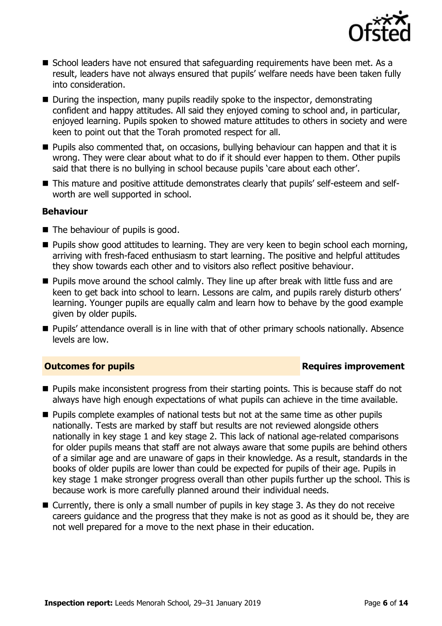

- School leaders have not ensured that safeguarding requirements have been met. As a result, leaders have not always ensured that pupils' welfare needs have been taken fully into consideration.
- During the inspection, many pupils readily spoke to the inspector, demonstrating confident and happy attitudes. All said they enjoyed coming to school and, in particular, enjoyed learning. Pupils spoken to showed mature attitudes to others in society and were keen to point out that the Torah promoted respect for all.
- Pupils also commented that, on occasions, bullying behaviour can happen and that it is wrong. They were clear about what to do if it should ever happen to them. Other pupils said that there is no bullying in school because pupils 'care about each other'.
- This mature and positive attitude demonstrates clearly that pupils' self-esteem and selfworth are well supported in school.

#### **Behaviour**

- The behaviour of pupils is good.
- Pupils show good attitudes to learning. They are very keen to begin school each morning, arriving with fresh-faced enthusiasm to start learning. The positive and helpful attitudes they show towards each other and to visitors also reflect positive behaviour.
- Pupils move around the school calmly. They line up after break with little fuss and are keen to get back into school to learn. Lessons are calm, and pupils rarely disturb others' learning. Younger pupils are equally calm and learn how to behave by the good example given by older pupils.
- Pupils' attendance overall is in line with that of other primary schools nationally. Absence levels are low.

#### **Outcomes for pupils Requires improvement**

- Pupils make inconsistent progress from their starting points. This is because staff do not always have high enough expectations of what pupils can achieve in the time available.
- Pupils complete examples of national tests but not at the same time as other pupils nationally. Tests are marked by staff but results are not reviewed alongside others nationally in key stage 1 and key stage 2. This lack of national age-related comparisons for older pupils means that staff are not always aware that some pupils are behind others of a similar age and are unaware of gaps in their knowledge. As a result, standards in the books of older pupils are lower than could be expected for pupils of their age. Pupils in key stage 1 make stronger progress overall than other pupils further up the school. This is because work is more carefully planned around their individual needs.
- Currently, there is only a small number of pupils in key stage 3. As they do not receive careers guidance and the progress that they make is not as good as it should be, they are not well prepared for a move to the next phase in their education.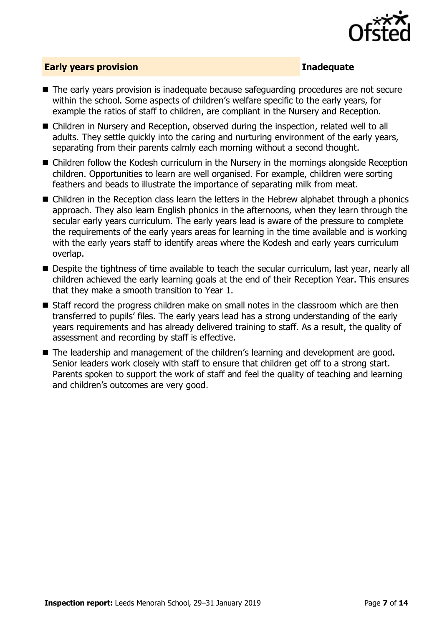

#### **Early years provision Inadequate**

- The early years provision is inadequate because safequarding procedures are not secure within the school. Some aspects of children's welfare specific to the early years, for example the ratios of staff to children, are compliant in the Nursery and Reception.
- Children in Nursery and Reception, observed during the inspection, related well to all adults. They settle quickly into the caring and nurturing environment of the early years, separating from their parents calmly each morning without a second thought.
- Children follow the Kodesh curriculum in the Nursery in the mornings alongside Reception children. Opportunities to learn are well organised. For example, children were sorting feathers and beads to illustrate the importance of separating milk from meat.
- Children in the Reception class learn the letters in the Hebrew alphabet through a phonics approach. They also learn English phonics in the afternoons, when they learn through the secular early years curriculum. The early years lead is aware of the pressure to complete the requirements of the early years areas for learning in the time available and is working with the early years staff to identify areas where the Kodesh and early years curriculum overlap.
- Despite the tightness of time available to teach the secular curriculum, last year, nearly all children achieved the early learning goals at the end of their Reception Year. This ensures that they make a smooth transition to Year 1.
- Staff record the progress children make on small notes in the classroom which are then transferred to pupils' files. The early years lead has a strong understanding of the early years requirements and has already delivered training to staff. As a result, the quality of assessment and recording by staff is effective.
- The leadership and management of the children's learning and development are good. Senior leaders work closely with staff to ensure that children get off to a strong start. Parents spoken to support the work of staff and feel the quality of teaching and learning and children's outcomes are very good.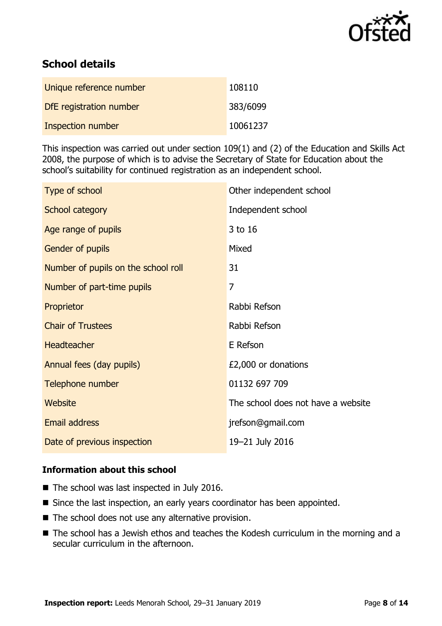

# **School details**

| Unique reference number  | 108110   |
|--------------------------|----------|
| DfE registration number  | 383/6099 |
| <b>Inspection number</b> | 10061237 |

This inspection was carried out under section 109(1) and (2) of the Education and Skills Act 2008, the purpose of which is to advise the Secretary of State for Education about the school's suitability for continued registration as an independent school.

| Type of school                      | Other independent school           |
|-------------------------------------|------------------------------------|
| School category                     | Independent school                 |
| Age range of pupils                 | 3 to 16                            |
| Gender of pupils                    | Mixed                              |
| Number of pupils on the school roll | 31                                 |
| Number of part-time pupils          | $\overline{7}$                     |
| Proprietor                          | Rabbi Refson                       |
| <b>Chair of Trustees</b>            | Rabbi Refson                       |
| Headteacher                         | E Refson                           |
| Annual fees (day pupils)            | £2,000 or donations                |
| Telephone number                    | 01132 697 709                      |
| Website                             | The school does not have a website |
| <b>Email address</b>                | jrefson@gmail.com                  |
| Date of previous inspection         | 19-21 July 2016                    |

#### **Information about this school**

- The school was last inspected in July 2016.
- Since the last inspection, an early years coordinator has been appointed.
- The school does not use any alternative provision.
- The school has a Jewish ethos and teaches the Kodesh curriculum in the morning and a secular curriculum in the afternoon.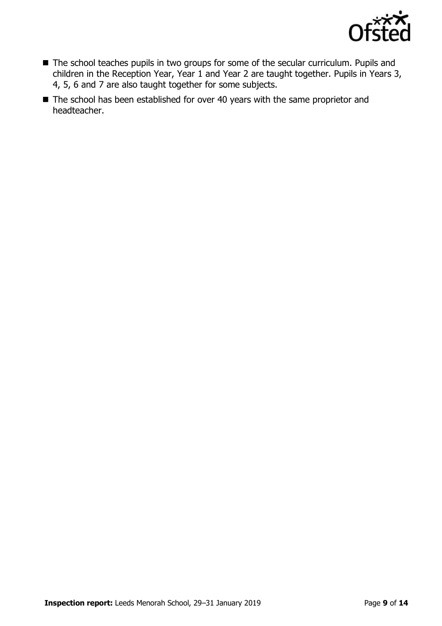

- The school teaches pupils in two groups for some of the secular curriculum. Pupils and children in the Reception Year, Year 1 and Year 2 are taught together. Pupils in Years 3, 4, 5, 6 and 7 are also taught together for some subjects.
- The school has been established for over 40 years with the same proprietor and headteacher.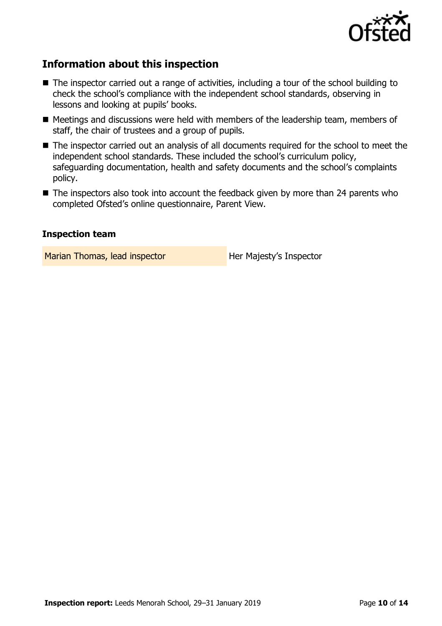

# **Information about this inspection**

- The inspector carried out a range of activities, including a tour of the school building to check the school's compliance with the independent school standards, observing in lessons and looking at pupils' books.
- Meetings and discussions were held with members of the leadership team, members of staff, the chair of trustees and a group of pupils.
- The inspector carried out an analysis of all documents required for the school to meet the independent school standards. These included the school's curriculum policy, safeguarding documentation, health and safety documents and the school's complaints policy.
- The inspectors also took into account the feedback given by more than 24 parents who completed Ofsted's online questionnaire, Parent View.

#### **Inspection team**

Marian Thomas, lead inspector **Her Majesty's Inspector**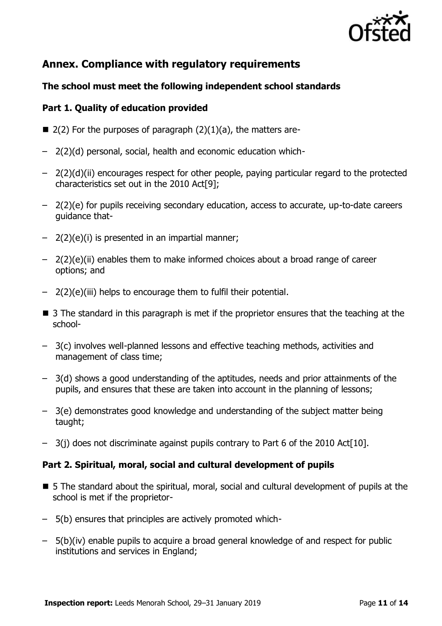

# **Annex. Compliance with regulatory requirements**

### **The school must meet the following independent school standards**

#### **Part 1. Quality of education provided**

- $\blacksquare$  2(2) For the purposes of paragraph (2)(1)(a), the matters are-
- 2(2)(d) personal, social, health and economic education which-
- 2(2)(d)(ii) encourages respect for other people, paying particular regard to the protected characteristics set out in the 2010 Act[9];
- 2(2)(e) for pupils receiving secondary education, access to accurate, up-to-date careers guidance that-
- 2(2)(e)(i) is presented in an impartial manner;
- 2(2)(e)(ii) enables them to make informed choices about a broad range of career options; and
- 2(2)(e)(iii) helps to encourage them to fulfil their potential.
- 3 The standard in this paragraph is met if the proprietor ensures that the teaching at the school-
- 3(c) involves well-planned lessons and effective teaching methods, activities and management of class time;
- 3(d) shows a good understanding of the aptitudes, needs and prior attainments of the pupils, and ensures that these are taken into account in the planning of lessons;
- 3(e) demonstrates good knowledge and understanding of the subject matter being taught;
- 3(j) does not discriminate against pupils contrary to Part 6 of the 2010 Act[10].

#### **Part 2. Spiritual, moral, social and cultural development of pupils**

- 5 The standard about the spiritual, moral, social and cultural development of pupils at the school is met if the proprietor-
- 5(b) ensures that principles are actively promoted which-
- 5(b)(iv) enable pupils to acquire a broad general knowledge of and respect for public institutions and services in England;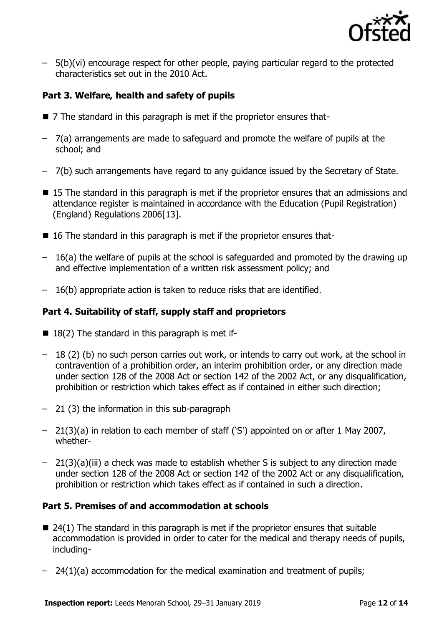

– 5(b)(vi) encourage respect for other people, paying particular regard to the protected characteristics set out in the 2010 Act.

### **Part 3. Welfare, health and safety of pupils**

- 7 The standard in this paragraph is met if the proprietor ensures that-
- 7(a) arrangements are made to safeguard and promote the welfare of pupils at the school; and
- 7(b) such arrangements have regard to any guidance issued by the Secretary of State.
- 15 The standard in this paragraph is met if the proprietor ensures that an admissions and attendance register is maintained in accordance with the Education (Pupil Registration) (England) Regulations 2006[13].
- 16 The standard in this paragraph is met if the proprietor ensures that-
- 16(a) the welfare of pupils at the school is safeguarded and promoted by the drawing up and effective implementation of a written risk assessment policy; and
- 16(b) appropriate action is taken to reduce risks that are identified.

### **Part 4. Suitability of staff, supply staff and proprietors**

- $\blacksquare$  18(2) The standard in this paragraph is met if-
- 18 (2) (b) no such person carries out work, or intends to carry out work, at the school in contravention of a prohibition order, an interim prohibition order, or any direction made under section 128 of the 2008 Act or section 142 of the 2002 Act, or any disqualification, prohibition or restriction which takes effect as if contained in either such direction;
- 21 (3) the information in this sub-paragraph
- 21(3)(a) in relation to each member of staff ('S') appointed on or after 1 May 2007, whether-
- 21(3)(a)(iii) a check was made to establish whether S is subject to any direction made under section 128 of the 2008 Act or section 142 of the 2002 Act or any disqualification, prohibition or restriction which takes effect as if contained in such a direction.

### **Part 5. Premises of and accommodation at schools**

- $\blacksquare$  24(1) The standard in this paragraph is met if the proprietor ensures that suitable accommodation is provided in order to cater for the medical and therapy needs of pupils, including-
- $-$  24(1)(a) accommodation for the medical examination and treatment of pupils;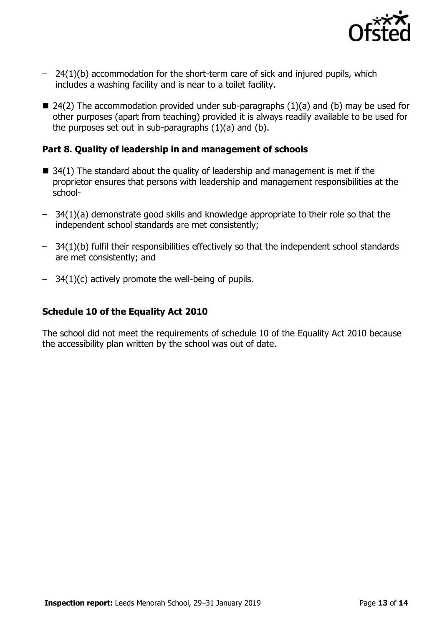

- 24(1)(b) accommodation for the short-term care of sick and injured pupils, which includes a washing facility and is near to a toilet facility.
- $\blacksquare$  24(2) The accommodation provided under sub-paragraphs (1)(a) and (b) may be used for other purposes (apart from teaching) provided it is always readily available to be used for the purposes set out in sub-paragraphs (1)(a) and (b).

#### **Part 8. Quality of leadership in and management of schools**

- $\blacksquare$  34(1) The standard about the quality of leadership and management is met if the proprietor ensures that persons with leadership and management responsibilities at the school-
- 34(1)(a) demonstrate good skills and knowledge appropriate to their role so that the independent school standards are met consistently;
- 34(1)(b) fulfil their responsibilities effectively so that the independent school standards are met consistently; and
- $-$  34(1)(c) actively promote the well-being of pupils.

### **Schedule 10 of the Equality Act 2010**

The school did not meet the requirements of schedule 10 of the Equality Act 2010 because the accessibility plan written by the school was out of date.